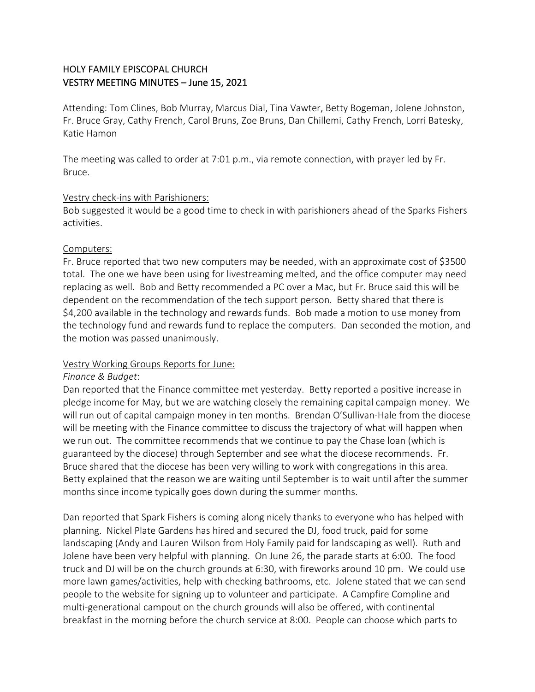# HOLY FAMILY EPISCOPAL CHURCH VESTRY MEETING MINUTES – June 15, 2021

Attending: Tom Clines, Bob Murray, Marcus Dial, Tina Vawter, Betty Bogeman, Jolene Johnston, Fr. Bruce Gray, Cathy French, Carol Bruns, Zoe Bruns, Dan Chillemi, Cathy French, Lorri Batesky, Katie Hamon

The meeting was called to order at 7:01 p.m., via remote connection, with prayer led by Fr. Bruce.

### Vestry check-ins with Parishioners:

Bob suggested it would be a good time to check in with parishioners ahead of the Sparks Fishers activities.

### Computers:

Fr. Bruce reported that two new computers may be needed, with an approximate cost of \$3500 total. The one we have been using for livestreaming melted, and the office computer may need replacing as well. Bob and Betty recommended a PC over a Mac, but Fr. Bruce said this will be dependent on the recommendation of the tech support person. Betty shared that there is \$4,200 available in the technology and rewards funds. Bob made a motion to use money from the technology fund and rewards fund to replace the computers. Dan seconded the motion, and the motion was passed unanimously.

# Vestry Working Groups Reports for June:

# *Finance & Budget*:

Dan reported that the Finance committee met yesterday. Betty reported a positive increase in pledge income for May, but we are watching closely the remaining capital campaign money. We will run out of capital campaign money in ten months. Brendan O'Sullivan-Hale from the diocese will be meeting with the Finance committee to discuss the trajectory of what will happen when we run out. The committee recommends that we continue to pay the Chase loan (which is guaranteed by the diocese) through September and see what the diocese recommends. Fr. Bruce shared that the diocese has been very willing to work with congregations in this area. Betty explained that the reason we are waiting until September is to wait until after the summer months since income typically goes down during the summer months.

Dan reported that Spark Fishers is coming along nicely thanks to everyone who has helped with planning. Nickel Plate Gardens has hired and secured the DJ, food truck, paid for some landscaping (Andy and Lauren Wilson from Holy Family paid for landscaping as well). Ruth and Jolene have been very helpful with planning. On June 26, the parade starts at 6:00. The food truck and DJ will be on the church grounds at 6:30, with fireworks around 10 pm. We could use more lawn games/activities, help with checking bathrooms, etc. Jolene stated that we can send people to the website for signing up to volunteer and participate. A Campfire Compline and multi-generational campout on the church grounds will also be offered, with continental breakfast in the morning before the church service at 8:00. People can choose which parts to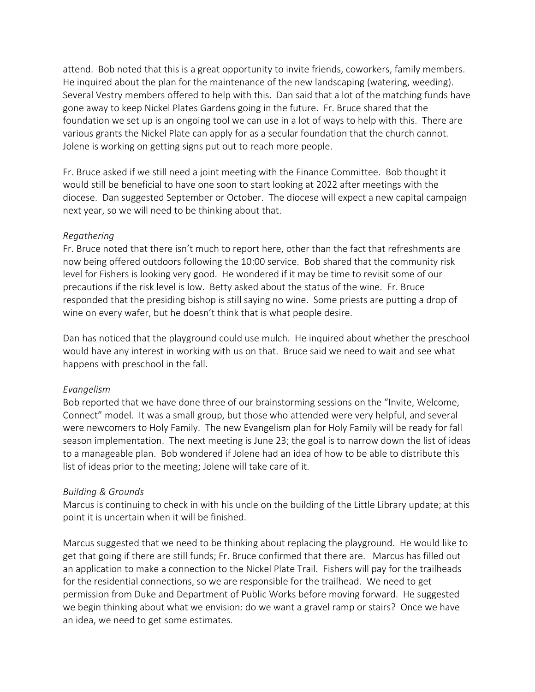attend. Bob noted that this is a great opportunity to invite friends, coworkers, family members. He inquired about the plan for the maintenance of the new landscaping (watering, weeding). Several Vestry members offered to help with this. Dan said that a lot of the matching funds have gone away to keep Nickel Plates Gardens going in the future. Fr. Bruce shared that the foundation we set up is an ongoing tool we can use in a lot of ways to help with this. There are various grants the Nickel Plate can apply for as a secular foundation that the church cannot. Jolene is working on getting signs put out to reach more people.

Fr. Bruce asked if we still need a joint meeting with the Finance Committee. Bob thought it would still be beneficial to have one soon to start looking at 2022 after meetings with the diocese. Dan suggested September or October. The diocese will expect a new capital campaign next year, so we will need to be thinking about that.

#### *Regathering*

Fr. Bruce noted that there isn't much to report here, other than the fact that refreshments are now being offered outdoors following the 10:00 service. Bob shared that the community risk level for Fishers is looking very good. He wondered if it may be time to revisit some of our precautions if the risk level is low. Betty asked about the status of the wine. Fr. Bruce responded that the presiding bishop is still saying no wine. Some priests are putting a drop of wine on every wafer, but he doesn't think that is what people desire.

Dan has noticed that the playground could use mulch. He inquired about whether the preschool would have any interest in working with us on that. Bruce said we need to wait and see what happens with preschool in the fall.

#### *Evangelism*

Bob reported that we have done three of our brainstorming sessions on the "Invite, Welcome, Connect" model. It was a small group, but those who attended were very helpful, and several were newcomers to Holy Family. The new Evangelism plan for Holy Family will be ready for fall season implementation. The next meeting is June 23; the goal is to narrow down the list of ideas to a manageable plan. Bob wondered if Jolene had an idea of how to be able to distribute this list of ideas prior to the meeting; Jolene will take care of it.

#### *Building & Grounds*

Marcus is continuing to check in with his uncle on the building of the Little Library update; at this point it is uncertain when it will be finished.

Marcus suggested that we need to be thinking about replacing the playground. He would like to get that going if there are still funds; Fr. Bruce confirmed that there are. Marcus has filled out an application to make a connection to the Nickel Plate Trail. Fishers will pay for the trailheads for the residential connections, so we are responsible for the trailhead. We need to get permission from Duke and Department of Public Works before moving forward. He suggested we begin thinking about what we envision: do we want a gravel ramp or stairs? Once we have an idea, we need to get some estimates.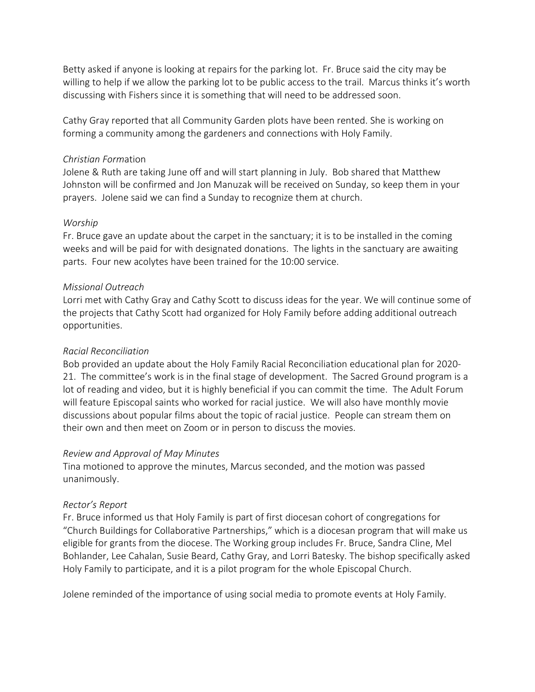Betty asked if anyone is looking at repairs for the parking lot. Fr. Bruce said the city may be willing to help if we allow the parking lot to be public access to the trail. Marcus thinks it's worth discussing with Fishers since it is something that will need to be addressed soon.

Cathy Gray reported that all Community Garden plots have been rented. She is working on forming a community among the gardeners and connections with Holy Family.

### *Christian Form*ation

Jolene & Ruth are taking June off and will start planning in July. Bob shared that Matthew Johnston will be confirmed and Jon Manuzak will be received on Sunday, so keep them in your prayers. Jolene said we can find a Sunday to recognize them at church.

### *Worship*

Fr. Bruce gave an update about the carpet in the sanctuary; it is to be installed in the coming weeks and will be paid for with designated donations. The lights in the sanctuary are awaiting parts. Four new acolytes have been trained for the 10:00 service.

### *Missional Outreach*

Lorri met with Cathy Gray and Cathy Scott to discuss ideas for the year. We will continue some of the projects that Cathy Scott had organized for Holy Family before adding additional outreach opportunities.

### *Racial Reconciliation*

Bob provided an update about the Holy Family Racial Reconciliation educational plan for 2020- 21. The committee's work is in the final stage of development. The Sacred Ground program is a lot of reading and video, but it is highly beneficial if you can commit the time. The Adult Forum will feature Episcopal saints who worked for racial justice. We will also have monthly movie discussions about popular films about the topic of racial justice. People can stream them on their own and then meet on Zoom or in person to discuss the movies.

# *Review and Approval of May Minutes*

Tina motioned to approve the minutes, Marcus seconded, and the motion was passed unanimously.

# *Rector's Report*

Fr. Bruce informed us that Holy Family is part of first diocesan cohort of congregations for "Church Buildings for Collaborative Partnerships," which is a diocesan program that will make us eligible for grants from the diocese. The Working group includes Fr. Bruce, Sandra Cline, Mel Bohlander, Lee Cahalan, Susie Beard, Cathy Gray, and Lorri Batesky. The bishop specifically asked Holy Family to participate, and it is a pilot program for the whole Episcopal Church.

Jolene reminded of the importance of using social media to promote events at Holy Family.